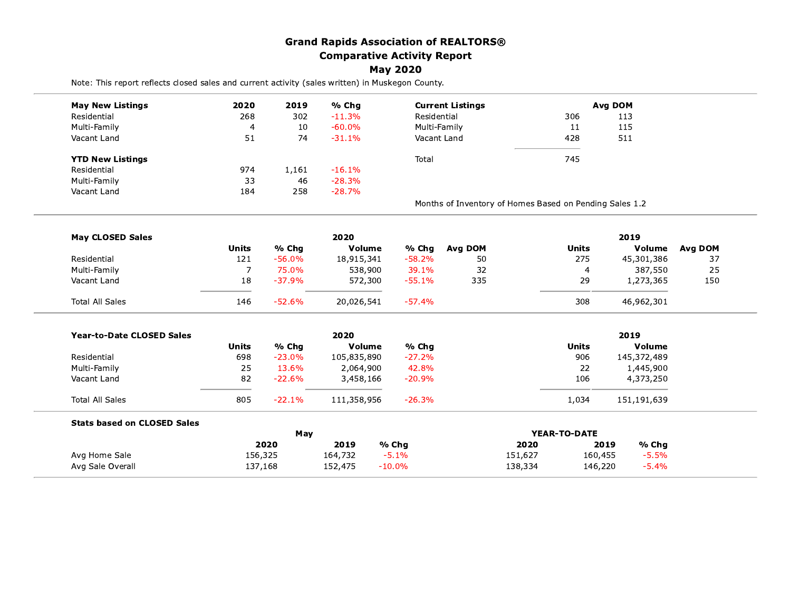## **Grand Rapids Association of REALTORS® Comparative Activity Report**

## **May 2020**

Note: This report reflects closed sales and current activity (sales written) in Muskegon County.

| <b>May New Listings</b>            | 2020           | 2019<br>% Cha |               | <b>Current Listings</b> |                                                         | Avg DOM      |               |         |  |
|------------------------------------|----------------|---------------|---------------|-------------------------|---------------------------------------------------------|--------------|---------------|---------|--|
| Residential                        | 268            | 302<br>10     | $-11.3%$      | Residential             |                                                         | 306          | 113           |         |  |
| Multi-Family                       | $\overline{a}$ |               | $-60.0%$      | Multi-Family            |                                                         | 11           | 115           |         |  |
| Vacant Land                        | 51             | 74            | $-31.1%$      | Vacant Land             |                                                         | 428          | 511           |         |  |
| <b>YTD New Listings</b>            |                |               |               | Total                   |                                                         | 745          |               |         |  |
| Residential                        | 974            | 1,161         | $-16.1%$      |                         |                                                         |              |               |         |  |
| Multi-Family                       | 33             | 46            | $-28.3%$      |                         |                                                         |              |               |         |  |
| Vacant Land                        | 184            | 258           | $-28.7%$      |                         |                                                         |              |               |         |  |
|                                    |                |               |               |                         | Months of Inventory of Homes Based on Pending Sales 1.2 |              |               |         |  |
| <b>May CLOSED Sales</b>            |                |               | 2020          |                         |                                                         |              | 2019          |         |  |
|                                    | <b>Units</b>   | % Chg         | <b>Volume</b> | % Chg                   | Avg DOM                                                 | <b>Units</b> | Volume        | Avg DOM |  |
| Residential                        | 121            | $-56.0%$      | 18,915,341    | $-58.2%$                | 50                                                      | 275          | 45,301,386    | 37      |  |
| Multi-Family                       | 7              | 75.0%         | 538,900       | 39.1%                   | 32                                                      | 4            | 387,550       | 25      |  |
| Vacant Land                        | 18             | $-37.9%$      | 572,300       | $-55.1%$                | 335                                                     | 29           | 1,273,365     | 150     |  |
| <b>Total All Sales</b>             | 146            | $-52.6%$      | 20,026,541    | $-57.4%$                |                                                         | 308          | 46,962,301    |         |  |
| <b>Year-to-Date CLOSED Sales</b>   | 2020           |               |               |                         |                                                         | 2019         |               |         |  |
|                                    | <b>Units</b>   | % Chg         | Volume        | % Chg                   |                                                         | <b>Units</b> | Volume        |         |  |
| Residential                        | 698            | $-23.0%$      | 105,835,890   | $-27.2%$                |                                                         | 906          | 145,372,489   |         |  |
| Multi-Family                       | 25             | 13.6%         | 2,064,900     | 42.8%                   |                                                         | 22           | 1,445,900     |         |  |
| Vacant Land                        | 82             | $-22.6%$      | 3,458,166     | $-20.9%$                |                                                         | 106          | 4,373,250     |         |  |
| <b>Total All Sales</b>             | 805            | $-22.1%$      | 111,358,956   | $-26.3%$                |                                                         | 1,034        | 151,191,639   |         |  |
| <b>Stats based on CLOSED Sales</b> |                |               |               |                         |                                                         |              |               |         |  |
|                                    |                | May           |               |                         |                                                         | YEAR-TO-DATE |               |         |  |
|                                    |                | 2020          | 2019          | % Chg                   | 2020                                                    |              | 2019<br>% Chg |         |  |
| Avg Home Sale                      | 156,325        |               | 164,732       | $-5.1%$                 | 151,627                                                 | 160,455      | $-5.5%$       |         |  |
| Avg Sale Overall                   | 137,168        |               | 152,475       | $-10.0\%$               | 138,334                                                 | 146,220      | $-5.4%$       |         |  |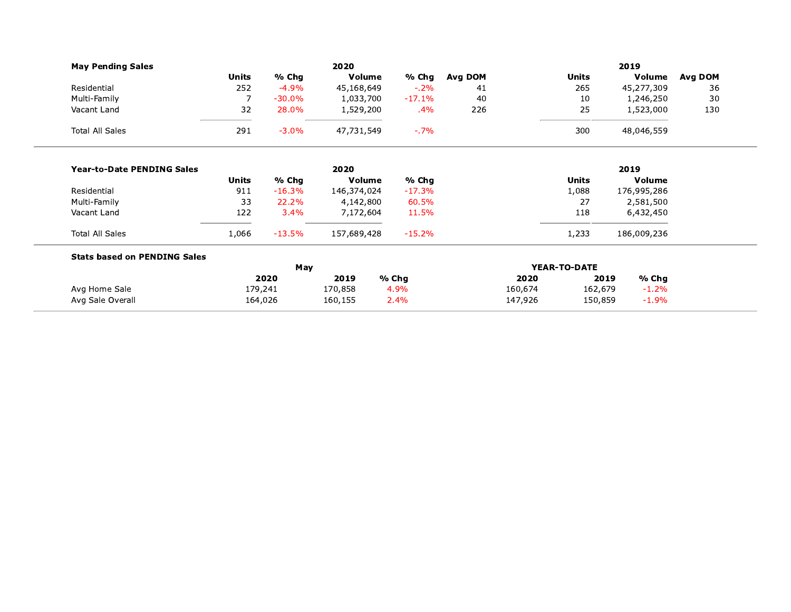| <b>May Pending Sales</b>            |                |             | 2020        |          |         |         |              | 2019        |         |
|-------------------------------------|----------------|-------------|-------------|----------|---------|---------|--------------|-------------|---------|
|                                     | <b>Units</b>   | % Chg       | Volume      | % Chg    | Avg DOM |         | <b>Units</b> | Volume      | Avg DOM |
| Residential                         | 252            | $-4.9%$     | 45,168,649  | $-2%$    | 41      |         | 265          | 45,277,309  | 36      |
| Multi-Family                        | $\overline{7}$ | $-30.0%$    | 1,033,700   | $-17.1%$ | 40      |         | 10           | 1,246,250   | 30      |
| Vacant Land                         | 32             | 28.0%       | 1,529,200   | $.4\%$   | 226     |         | 25           | 1,523,000   | 130     |
| <b>Total All Sales</b>              | 291            | $-3.0%$     | 47,731,549  | $-7\%$   |         |         | 300          | 48,046,559  |         |
| <b>Year-to-Date PENDING Sales</b>   |                |             | 2020        |          |         |         |              | 2019        |         |
|                                     | <b>Units</b>   | % Chg       | Volume      | % Chg    |         |         | <b>Units</b> | Volume      |         |
| Residential                         | 911            | $-16.3%$    | 146,374,024 | $-17.3%$ |         |         | 1,088        | 176,995,286 |         |
| Multi-Family                        | 33             | 22.2%       | 4,142,800   | 60.5%    |         |         | 27           | 2,581,500   |         |
| Vacant Land                         | 122            | 3.4%        | 7,172,604   | 11.5%    |         |         | 118          | 6,432,450   |         |
| <b>Total All Sales</b>              | 1,066          | $-13.5%$    | 157,689,428 | $-15.2%$ |         |         | 1,233        | 186,009,236 |         |
| <b>Stats based on PENDING Sales</b> |                |             |             |          |         |         | YEAR-TO-DATE |             |         |
|                                     |                | May<br>2020 | 2019        | % Chg    |         | 2020    | 2019         | % Chg       |         |
| Avg Home Sale                       | 179,241        |             | 170,858     | 4.9%     |         | 160,674 | 162,679      | $-1.2%$     |         |
| Avg Sale Overall                    | 164,026        |             | 160,155     | 2.4%     |         | 147,926 | 150,859      | $-1.9%$     |         |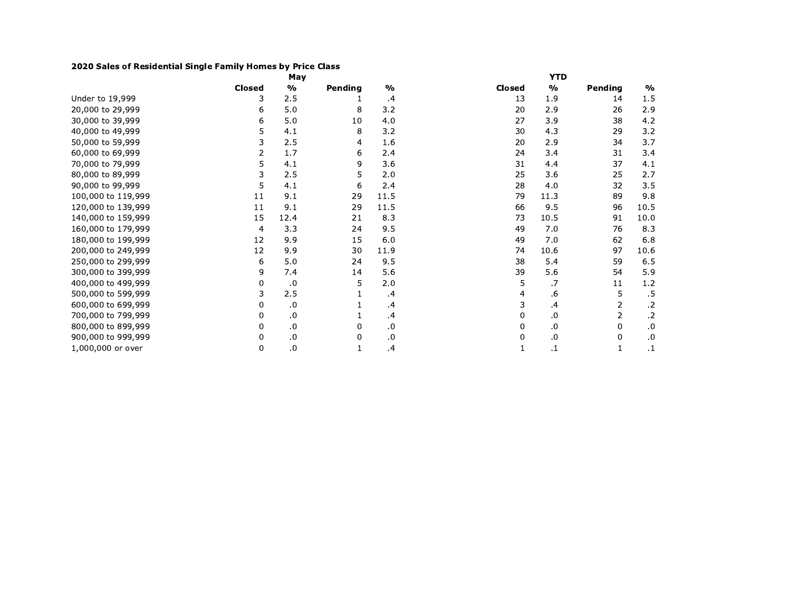## 2020 Sales of Residential Single Family Homes by Price Class

|                    |        | May           |         |               |        | <b>YTD</b>    |                |               |
|--------------------|--------|---------------|---------|---------------|--------|---------------|----------------|---------------|
|                    | Closed | $\frac{0}{0}$ | Pending | $\frac{0}{0}$ | Closed | $\frac{0}{0}$ | Pending        | $\frac{1}{2}$ |
| Under to 19,999    | 3      | 2.5           |         | .4            | 13     | 1.9           | 14             | $1.5\,$       |
| 20,000 to 29,999   | 6      | 5.0           | 8       | 3.2           | 20     | 2.9           | 26             | 2.9           |
| 30,000 to 39,999   | 6      | 5.0           | 10      | 4.0           | 27     | 3.9           | 38             | 4.2           |
| 40,000 to 49,999   | 5      | 4.1           | 8       | 3.2           | 30     | 4.3           | 29             | 3.2           |
| 50,000 to 59,999   | 3      | 2.5           | 4       | 1.6           | 20     | 2.9           | 34             | 3.7           |
| 60,000 to 69,999   | 2      | 1.7           | 6       | 2.4           | 24     | 3.4           | 31             | 3.4           |
| 70,000 to 79,999   | 5      | 4.1           | 9       | 3.6           | 31     | 4.4           | 37             | 4.1           |
| 80,000 to 89,999   | 3      | 2.5           | 5       | 2.0           | 25     | 3.6           | 25             | 2.7           |
| 90,000 to 99,999   | 5      | 4.1           | 6       | 2.4           | 28     | 4.0           | 32             | 3.5           |
| 100,000 to 119,999 | 11     | 9.1           | 29      | 11.5          | 79     | 11.3          | 89             | 9.8           |
| 120,000 to 139,999 | 11     | 9.1           | 29      | 11.5          | 66     | 9.5           | 96             | 10.5          |
| 140,000 to 159,999 | 15     | 12.4          | 21      | 8.3           | 73     | 10.5          | 91             | 10.0          |
| 160,000 to 179,999 | 4      | 3.3           | 24      | 9.5           | 49     | 7.0           | 76             | 8.3           |
| 180,000 to 199,999 | 12     | 9.9           | 15      | 6.0           | 49     | 7.0           | 62             | 6.8           |
| 200,000 to 249,999 | 12     | 9.9           | 30      | 11.9          | 74     | 10.6          | 97             | 10.6          |
| 250,000 to 299,999 | 6      | 5.0           | 24      | 9.5           | 38     | 5.4           | 59             | 6.5           |
| 300,000 to 399,999 | 9      | 7.4           | 14      | 5.6           | 39     | 5.6           | 54             | 5.9           |
| 400,000 to 499,999 | 0      | .0            | 5       | 2.0           | 5      | .7            | 11             | $1.2\,$       |
| 500,000 to 599,999 | 3      | 2.5           |         | $\cdot$       | 4      | .6            | 5              | .5            |
| 600,000 to 699,999 | 0      | .0            |         | $\cdot$       | 3      | .4            | 2              | $\cdot$ .2    |
| 700,000 to 799,999 | 0      | .0            |         | $\cdot$       | 0      | .0            | $\overline{2}$ | $\cdot$ .2    |
| 800,000 to 899,999 | 0      | $\cdot$       | 0       | .0            | 0      | .0            | 0              | .0            |
| 900,000 to 999,999 | 0      | $\cdot$ 0     | 0       | 0.            | 0      | .0            | 0              | $\cdot$       |
| 1,000,000 or over  | 0      | $\cdot$ 0     |         | .4            |        | $\cdot$       | $\mathbf{1}$   | $\cdot$ 1     |